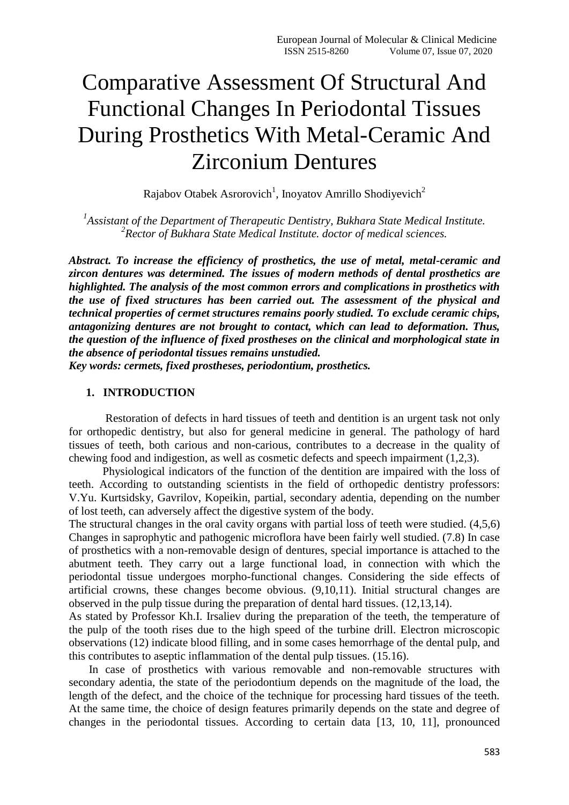# Comparative Assessment Of Structural And Functional Changes In Periodontal Tissues During Prosthetics With Metal-Ceramic And Zirconium Dentures

Rajabov Otabek Asrorovich<sup>1</sup>, Inoyatov Amrillo Shodiyevich<sup>2</sup>

*1 Assistant of the Department of Therapeutic Dentistry, Bukhara State Medical Institute. 2 Rector of Bukhara State Medical Institute. doctor of medical sciences.*

*Abstract. To increase the efficiency of prosthetics, the use of metal, metal-ceramic and zircon dentures was determined. The issues of modern methods of dental prosthetics are highlighted. The analysis of the most common errors and complications in prosthetics with the use of fixed structures has been carried out. The assessment of the physical and technical properties of cermet structures remains poorly studied. To exclude ceramic chips, antagonizing dentures are not brought to contact, which can lead to deformation. Thus, the question of the influence of fixed prostheses on the clinical and morphological state in the absence of periodontal tissues remains unstudied.*

*Key words: cermets, fixed prostheses, periodontium, prosthetics.*

#### **1. INTRODUCTION**

Restoration of defects in hard tissues of teeth and dentition is an urgent task not only for orthopedic dentistry, but also for general medicine in general. The pathology of hard tissues of teeth, both carious and non-carious, contributes to a decrease in the quality of chewing food and indigestion, as well as cosmetic defects and speech impairment (1,2,3).

Physiological indicators of the function of the dentition are impaired with the loss of teeth. According to outstanding scientists in the field of orthopedic dentistry professors: V.Yu. Kurtsidsky, Gavrilov, Kopeikin, partial, secondary adentia, depending on the number of lost teeth, can adversely affect the digestive system of the body.

The structural changes in the oral cavity organs with partial loss of teeth were studied. (4,5,6) Changes in saprophytic and pathogenic microflora have been fairly well studied. (7.8) In case of prosthetics with a non-removable design of dentures, special importance is attached to the abutment teeth. They carry out a large functional load, in connection with which the periodontal tissue undergoes morpho-functional changes. Considering the side effects of artificial crowns, these changes become obvious. (9,10,11). Initial structural changes are observed in the pulp tissue during the preparation of dental hard tissues. (12,13,14).

As stated by Professor Kh.I. Irsaliev during the preparation of the teeth, the temperature of the pulp of the tooth rises due to the high speed of the turbine drill. Electron microscopic observations (12) indicate blood filling, and in some cases hemorrhage of the dental pulp, and this contributes to aseptic inflammation of the dental pulp tissues. (15.16).

 In case of prosthetics with various removable and non-removable structures with secondary adentia, the state of the periodontium depends on the magnitude of the load, the length of the defect, and the choice of the technique for processing hard tissues of the teeth. At the same time, the choice of design features primarily depends on the state and degree of changes in the periodontal tissues. According to certain data [13, 10, 11], pronounced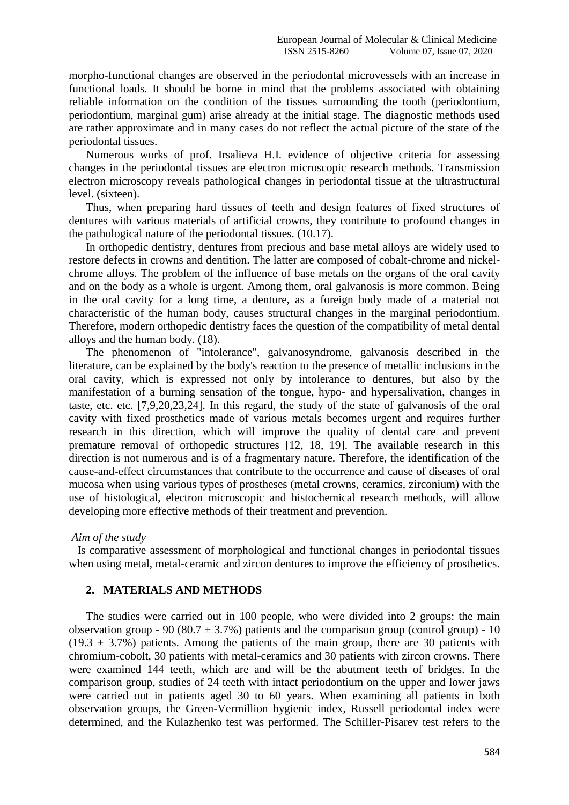morpho-functional changes are observed in the periodontal microvessels with an increase in functional loads. It should be borne in mind that the problems associated with obtaining reliable information on the condition of the tissues surrounding the tooth (periodontium, periodontium, marginal gum) arise already at the initial stage. The diagnostic methods used are rather approximate and in many cases do not reflect the actual picture of the state of the periodontal tissues.

 Numerous works of prof. Irsalieva H.I. evidence of objective criteria for assessing changes in the periodontal tissues are electron microscopic research methods. Transmission electron microscopy reveals pathological changes in periodontal tissue at the ultrastructural level. (sixteen).

 Thus, when preparing hard tissues of teeth and design features of fixed structures of dentures with various materials of artificial crowns, they contribute to profound changes in the pathological nature of the periodontal tissues. (10.17).

 In orthopedic dentistry, dentures from precious and base metal alloys are widely used to restore defects in crowns and dentition. The latter are composed of cobalt-chrome and nickelchrome alloys. The problem of the influence of base metals on the organs of the oral cavity and on the body as a whole is urgent. Among them, oral galvanosis is more common. Being in the oral cavity for a long time, a denture, as a foreign body made of a material not characteristic of the human body, causes structural changes in the marginal periodontium. Therefore, modern orthopedic dentistry faces the question of the compatibility of metal dental alloys and the human body. (18).

 The phenomenon of "intolerance", galvanosyndrome, galvanosis described in the literature, can be explained by the body's reaction to the presence of metallic inclusions in the oral cavity, which is expressed not only by intolerance to dentures, but also by the manifestation of a burning sensation of the tongue, hypo- and hypersalivation, changes in taste, etc. etc. [7,9,20,23,24]. In this regard, the study of the state of galvanosis of the oral cavity with fixed prosthetics made of various metals becomes urgent and requires further research in this direction, which will improve the quality of dental care and prevent premature removal of orthopedic structures [12, 18, 19]. The available research in this direction is not numerous and is of a fragmentary nature. Therefore, the identification of the cause-and-effect circumstances that contribute to the occurrence and cause of diseases of oral mucosa when using various types of prostheses (metal crowns, ceramics, zirconium) with the use of histological, electron microscopic and histochemical research methods, will allow developing more effective methods of their treatment and prevention.

#### *Aim of the study*

 Is comparative assessment of morphological and functional changes in periodontal tissues when using metal, metal-ceramic and zircon dentures to improve the efficiency of prosthetics.

#### **2. MATERIALS AND METHODS**

 The studies were carried out in 100 people, who were divided into 2 groups: the main observation group - 90 (80.7  $\pm$  3.7%) patients and the comparison group (control group) - 10  $(19.3 \pm 3.7%)$  patients. Among the patients of the main group, there are 30 patients with chromium-cobolt, 30 patients with metal-ceramics and 30 patients with zircon crowns. There were examined 144 teeth, which are and will be the abutment teeth of bridges. In the comparison group, studies of 24 teeth with intact periodontium on the upper and lower jaws were carried out in patients aged 30 to 60 years. When examining all patients in both observation groups, the Green-Vermillion hygienic index, Russell periodontal index were determined, and the Kulazhenko test was performed. The Schiller-Pisarev test refers to the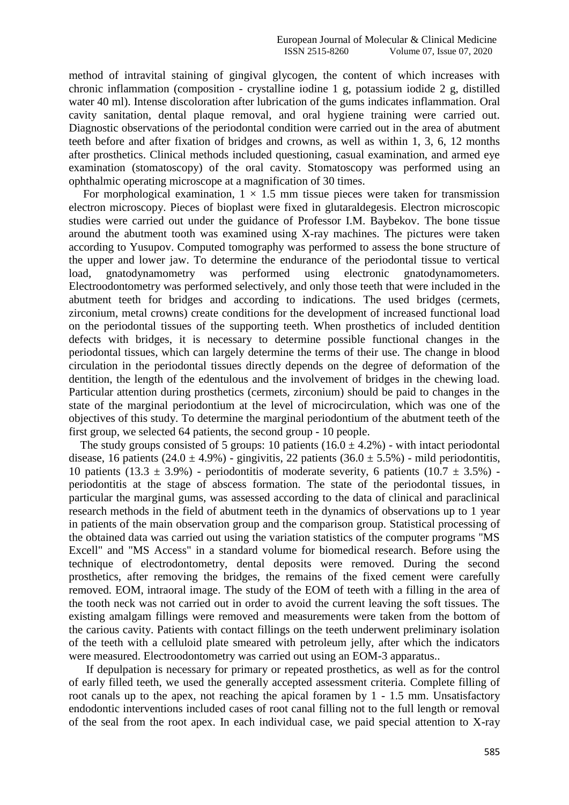method of intravital staining of gingival glycogen, the content of which increases with chronic inflammation (composition - crystalline iodine 1 g, potassium iodide 2 g, distilled water 40 ml). Intense discoloration after lubrication of the gums indicates inflammation. Oral cavity sanitation, dental plaque removal, and oral hygiene training were carried out. Diagnostic observations of the periodontal condition were carried out in the area of abutment teeth before and after fixation of bridges and crowns, as well as within 1, 3, 6, 12 months after prosthetics. Clinical methods included questioning, casual examination, and armed eye examination (stomatoscopy) of the oral cavity. Stomatoscopy was performed using an ophthalmic operating microscope at a magnification of 30 times.

For morphological examination,  $1 \times 1.5$  mm tissue pieces were taken for transmission electron microscopy. Pieces of bioplast were fixed in glutaraldegesis. Electron microscopic studies were carried out under the guidance of Professor I.M. Baybekov. The bone tissue around the abutment tooth was examined using X-ray machines. The pictures were taken according to Yusupov. Computed tomography was performed to assess the bone structure of the upper and lower jaw. To determine the endurance of the periodontal tissue to vertical load, gnatodynamometry was performed using electronic gnatodynamometers. Electroodontometry was performed selectively, and only those teeth that were included in the abutment teeth for bridges and according to indications. The used bridges (cermets, zirconium, metal crowns) create conditions for the development of increased functional load on the periodontal tissues of the supporting teeth. When prosthetics of included dentition defects with bridges, it is necessary to determine possible functional changes in the periodontal tissues, which can largely determine the terms of their use. The change in blood circulation in the periodontal tissues directly depends on the degree of deformation of the dentition, the length of the edentulous and the involvement of bridges in the chewing load. Particular attention during prosthetics (cermets, zirconium) should be paid to changes in the state of the marginal periodontium at the level of microcirculation, which was one of the objectives of this study. To determine the marginal periodontium of the abutment teeth of the first group, we selected 64 patients, the second group - 10 people.

The study groups consisted of 5 groups: 10 patients  $(16.0 \pm 4.2\%)$  - with intact periodontal disease, 16 patients (24.0  $\pm$  4.9%) - gingivitis, 22 patients (36.0  $\pm$  5.5%) - mild periodontitis, 10 patients (13.3  $\pm$  3.9%) - periodontitis of moderate severity, 6 patients (10.7  $\pm$  3.5%) periodontitis at the stage of abscess formation. The state of the periodontal tissues, in particular the marginal gums, was assessed according to the data of clinical and paraclinical research methods in the field of abutment teeth in the dynamics of observations up to 1 year in patients of the main observation group and the comparison group. Statistical processing of the obtained data was carried out using the variation statistics of the computer programs "MS Excell" and "MS Access" in a standard volume for biomedical research. Before using the technique of electrodontometry, dental deposits were removed. During the second prosthetics, after removing the bridges, the remains of the fixed cement were carefully removed. EOM, intraoral image. The study of the EOM of teeth with a filling in the area of the tooth neck was not carried out in order to avoid the current leaving the soft tissues. The existing amalgam fillings were removed and measurements were taken from the bottom of the carious cavity. Patients with contact fillings on the teeth underwent preliminary isolation of the teeth with a celluloid plate smeared with petroleum jelly, after which the indicators were measured. Electroodontometry was carried out using an EOM-3 apparatus..

 If depulpation is necessary for primary or repeated prosthetics, as well as for the control of early filled teeth, we used the generally accepted assessment criteria. Complete filling of root canals up to the apex, not reaching the apical foramen by 1 - 1.5 mm. Unsatisfactory endodontic interventions included cases of root canal filling not to the full length or removal of the seal from the root apex. In each individual case, we paid special attention to X-ray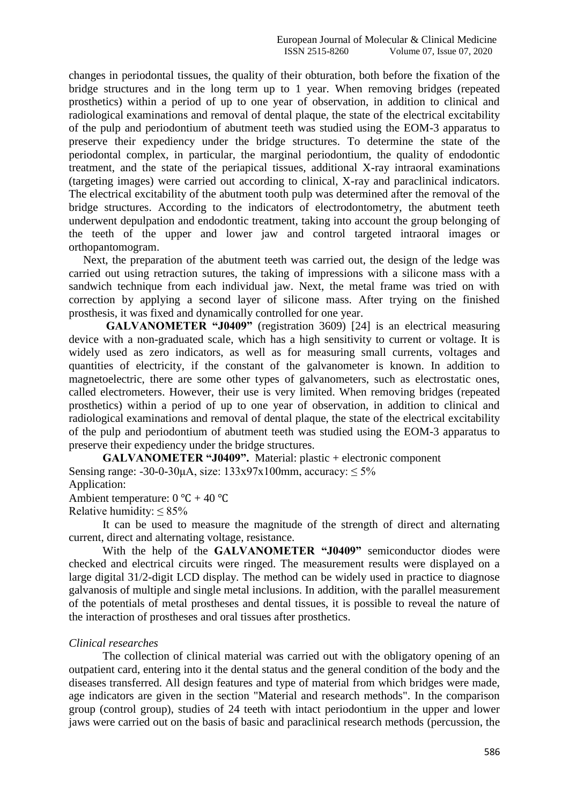changes in periodontal tissues, the quality of their obturation, both before the fixation of the bridge structures and in the long term up to 1 year. When removing bridges (repeated prosthetics) within a period of up to one year of observation, in addition to clinical and radiological examinations and removal of dental plaque, the state of the electrical excitability of the pulp and periodontium of abutment teeth was studied using the EOM-3 apparatus to preserve their expediency under the bridge structures. To determine the state of the periodontal complex, in particular, the marginal periodontium, the quality of endodontic treatment, and the state of the periapical tissues, additional X-ray intraoral examinations (targeting images) were carried out according to clinical, X-ray and paraclinical indicators. The electrical excitability of the abutment tooth pulp was determined after the removal of the bridge structures. According to the indicators of electrodontometry, the abutment teeth underwent depulpation and endodontic treatment, taking into account the group belonging of the teeth of the upper and lower jaw and control targeted intraoral images or orthopantomogram.

 Next, the preparation of the abutment teeth was carried out, the design of the ledge was carried out using retraction sutures, the taking of impressions with a silicone mass with a sandwich technique from each individual jaw. Next, the metal frame was tried on with correction by applying a second layer of silicone mass. After trying on the finished prosthesis, it was fixed and dynamically controlled for one year.

**GALVANOMETER "J0409"** (registration 3609) [24] is an electrical measuring device with a non-graduated scale, which has a high sensitivity to current or voltage. It is widely used as zero indicators, as well as for measuring small currents, voltages and quantities of electricity, if the constant of the galvanometer is known. In addition to magnetoelectric, there are some other types of galvanometers, such as electrostatic ones, called electrometers. However, their use is very limited. When removing bridges (repeated prosthetics) within a period of up to one year of observation, in addition to clinical and radiological examinations and removal of dental plaque, the state of the electrical excitability of the pulp and periodontium of abutment teeth was studied using the EOM-3 apparatus to preserve their expediency under the bridge structures.

**GALVANOMETER "J0409".** Material: plastic + electronic component Sensing range:  $-30-0-30\mu A$ , size:  $133x97x100$ mm, accuracy:  $\leq 5\%$ Application:

Ambient temperature:  $0 °C + 40 °C$ 

Relative humidity:  $\leq 85\%$ 

It can be used to measure the magnitude of the strength of direct and alternating current, direct and alternating voltage, resistance.

With the help of the **GALVANOMETER "J0409"** semiconductor diodes were checked and electrical circuits were ringed. The measurement results were displayed on a large digital 31/2-digit LCD display. The method can be widely used in practice to diagnose galvanosis of multiple and single metal inclusions. In addition, with the parallel measurement of the potentials of metal prostheses and dental tissues, it is possible to reveal the nature of the interaction of prostheses and oral tissues after prosthetics.

#### *Clinical researches*

The collection of clinical material was carried out with the obligatory opening of an outpatient card, entering into it the dental status and the general condition of the body and the diseases transferred. All design features and type of material from which bridges were made, age indicators are given in the section "Material and research methods". In the comparison group (control group), studies of 24 teeth with intact periodontium in the upper and lower jaws were carried out on the basis of basic and paraclinical research methods (percussion, the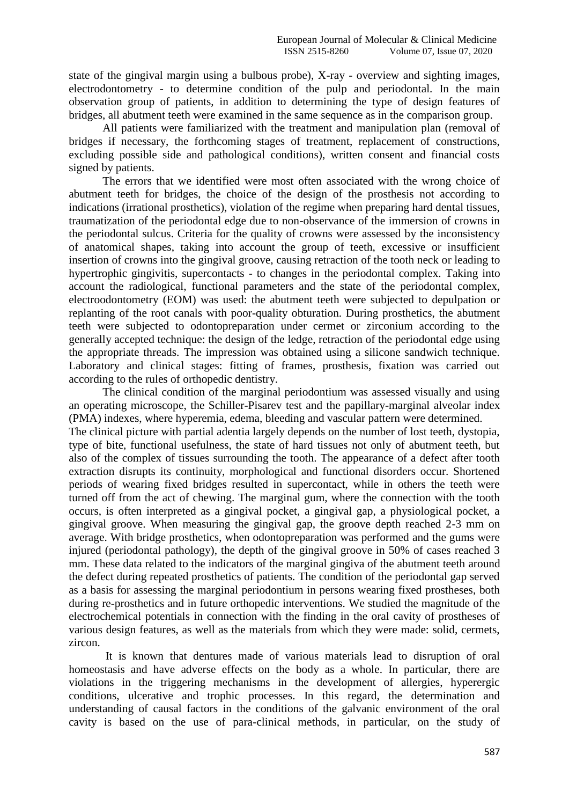state of the gingival margin using a bulbous probe), X-ray - overview and sighting images, electrodontometry - to determine condition of the pulp and periodontal. In the main observation group of patients, in addition to determining the type of design features of bridges, all abutment teeth were examined in the same sequence as in the comparison group.

All patients were familiarized with the treatment and manipulation plan (removal of bridges if necessary, the forthcoming stages of treatment, replacement of constructions, excluding possible side and pathological conditions), written consent and financial costs signed by patients.

The errors that we identified were most often associated with the wrong choice of abutment teeth for bridges, the choice of the design of the prosthesis not according to indications (irrational prosthetics), violation of the regime when preparing hard dental tissues, traumatization of the periodontal edge due to non-observance of the immersion of crowns in the periodontal sulcus. Criteria for the quality of crowns were assessed by the inconsistency of anatomical shapes, taking into account the group of teeth, excessive or insufficient insertion of crowns into the gingival groove, causing retraction of the tooth neck or leading to hypertrophic gingivitis, supercontacts - to changes in the periodontal complex. Taking into account the radiological, functional parameters and the state of the periodontal complex, electroodontometry (EOM) was used: the abutment teeth were subjected to depulpation or replanting of the root canals with poor-quality obturation. During prosthetics, the abutment teeth were subjected to odontopreparation under cermet or zirconium according to the generally accepted technique: the design of the ledge, retraction of the periodontal edge using the appropriate threads. The impression was obtained using a silicone sandwich technique. Laboratory and clinical stages: fitting of frames, prosthesis, fixation was carried out according to the rules of orthopedic dentistry.

The clinical condition of the marginal periodontium was assessed visually and using an operating microscope, the Schiller-Pisarev test and the papillary-marginal alveolar index (PMA) indexes, where hyperemia, edema, bleeding and vascular pattern were determined. The clinical picture with partial adentia largely depends on the number of lost teeth, dystopia, type of bite, functional usefulness, the state of hard tissues not only of abutment teeth, but also of the complex of tissues surrounding the tooth. The appearance of a defect after tooth extraction disrupts its continuity, morphological and functional disorders occur. Shortened periods of wearing fixed bridges resulted in supercontact, while in others the teeth were turned off from the act of chewing. The marginal gum, where the connection with the tooth occurs, is often interpreted as a gingival pocket, a gingival gap, a physiological pocket, a gingival groove. When measuring the gingival gap, the groove depth reached 2-3 mm on average. With bridge prosthetics, when odontopreparation was performed and the gums were injured (periodontal pathology), the depth of the gingival groove in 50% of cases reached 3 mm. These data related to the indicators of the marginal gingiva of the abutment teeth around the defect during repeated prosthetics of patients. The condition of the periodontal gap served as a basis for assessing the marginal periodontium in persons wearing fixed prostheses, both during re-prosthetics and in future orthopedic interventions. We studied the magnitude of the electrochemical potentials in connection with the finding in the oral cavity of prostheses of various design features, as well as the materials from which they were made: solid, cermets, zircon.

It is known that dentures made of various materials lead to disruption of oral homeostasis and have adverse effects on the body as a whole. In particular, there are violations in the triggering mechanisms in the development of allergies, hyperergic conditions, ulcerative and trophic processes. In this regard, the determination and understanding of causal factors in the conditions of the galvanic environment of the oral cavity is based on the use of para-clinical methods, in particular, on the study of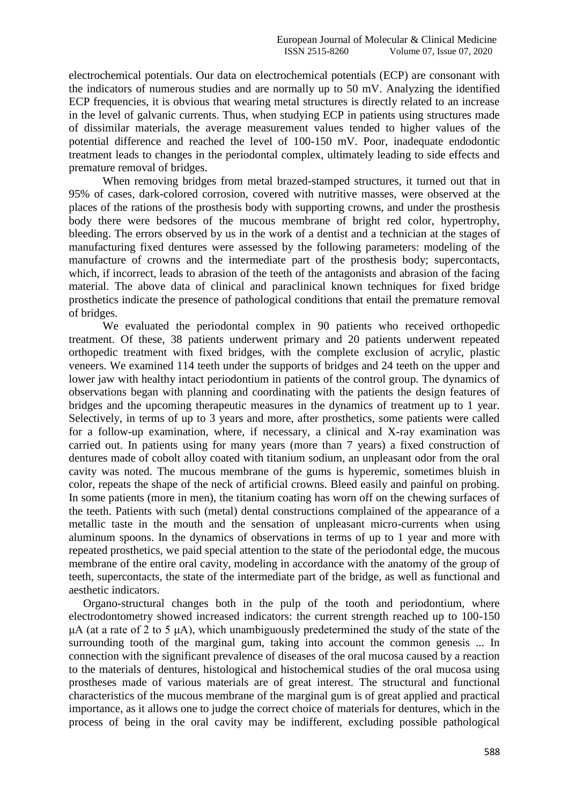electrochemical potentials. Our data on electrochemical potentials (ECP) are consonant with the indicators of numerous studies and are normally up to 50 mV. Analyzing the identified ECP frequencies, it is obvious that wearing metal structures is directly related to an increase in the level of galvanic currents. Thus, when studying ECP in patients using structures made of dissimilar materials, the average measurement values tended to higher values of the potential difference and reached the level of 100-150 mV. Poor, inadequate endodontic treatment leads to changes in the periodontal complex, ultimately leading to side effects and premature removal of bridges.

When removing bridges from metal brazed-stamped structures, it turned out that in 95% of cases, dark-colored corrosion, covered with nutritive masses, were observed at the places of the rations of the prosthesis body with supporting crowns, and under the prosthesis body there were bedsores of the mucous membrane of bright red color, hypertrophy, bleeding. The errors observed by us in the work of a dentist and a technician at the stages of manufacturing fixed dentures were assessed by the following parameters: modeling of the manufacture of crowns and the intermediate part of the prosthesis body; supercontacts, which, if incorrect, leads to abrasion of the teeth of the antagonists and abrasion of the facing material. The above data of clinical and paraclinical known techniques for fixed bridge prosthetics indicate the presence of pathological conditions that entail the premature removal of bridges.

We evaluated the periodontal complex in 90 patients who received orthopedic treatment. Of these, 38 patients underwent primary and 20 patients underwent repeated orthopedic treatment with fixed bridges, with the complete exclusion of acrylic, plastic veneers. We examined 114 teeth under the supports of bridges and 24 teeth on the upper and lower jaw with healthy intact periodontium in patients of the control group. The dynamics of observations began with planning and coordinating with the patients the design features of bridges and the upcoming therapeutic measures in the dynamics of treatment up to 1 year. Selectively, in terms of up to 3 years and more, after prosthetics, some patients were called for a follow-up examination, where, if necessary, a clinical and X-ray examination was carried out. In patients using for many years (more than 7 years) a fixed construction of dentures made of cobolt alloy coated with titanium sodium, an unpleasant odor from the oral cavity was noted. The mucous membrane of the gums is hyperemic, sometimes bluish in color, repeats the shape of the neck of artificial crowns. Bleed easily and painful on probing. In some patients (more in men), the titanium coating has worn off on the chewing surfaces of the teeth. Patients with such (metal) dental constructions complained of the appearance of a metallic taste in the mouth and the sensation of unpleasant micro-currents when using aluminum spoons. In the dynamics of observations in terms of up to 1 year and more with repeated prosthetics, we paid special attention to the state of the periodontal edge, the mucous membrane of the entire oral cavity, modeling in accordance with the anatomy of the group of teeth, supercontacts, the state of the intermediate part of the bridge, as well as functional and aesthetic indicators.

 Organo-structural changes both in the pulp of the tooth and periodontium, where electrodontometry showed increased indicators: the current strength reached up to 100-150  $\mu$ A (at a rate of 2 to 5  $\mu$ A), which unambiguously predetermined the study of the state of the surrounding tooth of the marginal gum, taking into account the common genesis ... In connection with the significant prevalence of diseases of the oral mucosa caused by a reaction to the materials of dentures, histological and histochemical studies of the oral mucosa using prostheses made of various materials are of great interest. The structural and functional characteristics of the mucous membrane of the marginal gum is of great applied and practical importance, as it allows one to judge the correct choice of materials for dentures, which in the process of being in the oral cavity may be indifferent, excluding possible pathological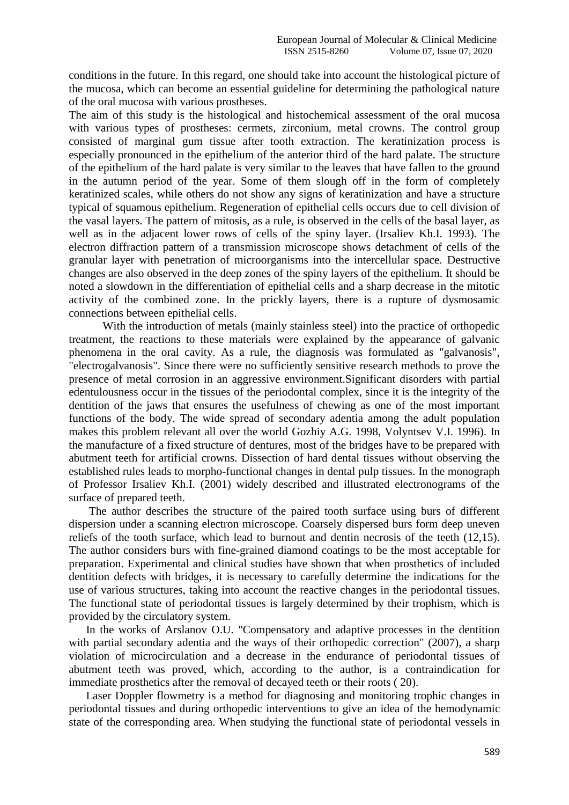conditions in the future. In this regard, one should take into account the histological picture of the mucosa, which can become an essential guideline for determining the pathological nature of the oral mucosa with various prostheses.

The aim of this study is the histological and histochemical assessment of the oral mucosa with various types of prostheses: cermets, zirconium, metal crowns. The control group consisted of marginal gum tissue after tooth extraction. The keratinization process is especially pronounced in the epithelium of the anterior third of the hard palate. The structure of the epithelium of the hard palate is very similar to the leaves that have fallen to the ground in the autumn period of the year. Some of them slough off in the form of completely keratinized scales, while others do not show any signs of keratinization and have a structure typical of squamous epithelium. Regeneration of epithelial cells occurs due to cell division of the vasal layers. The pattern of mitosis, as a rule, is observed in the cells of the basal layer, as well as in the adjacent lower rows of cells of the spiny layer. (Irsaliev Kh.I. 1993). The electron diffraction pattern of a transmission microscope shows detachment of cells of the granular layer with penetration of microorganisms into the intercellular space. Destructive changes are also observed in the deep zones of the spiny layers of the epithelium. It should be noted a slowdown in the differentiation of epithelial cells and a sharp decrease in the mitotic activity of the combined zone. In the prickly layers, there is a rupture of dysmosamic connections between epithelial cells.

With the introduction of metals (mainly stainless steel) into the practice of orthopedic treatment, the reactions to these materials were explained by the appearance of galvanic phenomena in the oral cavity. As a rule, the diagnosis was formulated as "galvanosis", "electrogalvanosis". Since there were no sufficiently sensitive research methods to prove the presence of metal corrosion in an aggressive environment.Significant disorders with partial edentulousness occur in the tissues of the periodontal complex, since it is the integrity of the dentition of the jaws that ensures the usefulness of chewing as one of the most important functions of the body. The wide spread of secondary adentia among the adult population makes this problem relevant all over the world Gozhiy A.G. 1998, Volyntsev V.I. 1996). In the manufacture of a fixed structure of dentures, most of the bridges have to be prepared with abutment teeth for artificial crowns. Dissection of hard dental tissues without observing the established rules leads to morpho-functional changes in dental pulp tissues. In the monograph of Professor Irsaliev Kh.I. (2001) widely described and illustrated electronograms of the surface of prepared teeth.

 The author describes the structure of the paired tooth surface using burs of different dispersion under a scanning electron microscope. Coarsely dispersed burs form deep uneven reliefs of the tooth surface, which lead to burnout and dentin necrosis of the teeth (12,15). The author considers burs with fine-grained diamond coatings to be the most acceptable for preparation. Experimental and clinical studies have shown that when prosthetics of included dentition defects with bridges, it is necessary to carefully determine the indications for the use of various structures, taking into account the reactive changes in the periodontal tissues. The functional state of periodontal tissues is largely determined by their trophism, which is provided by the circulatory system.

 In the works of Arslanov O.U. "Compensatory and adaptive processes in the dentition with partial secondary adentia and the ways of their orthopedic correction" (2007), a sharp violation of microcirculation and a decrease in the endurance of periodontal tissues of abutment teeth was proved, which, according to the author, is a contraindication for immediate prosthetics after the removal of decayed teeth or their roots ( 20).

 Laser Doppler flowmetry is a method for diagnosing and monitoring trophic changes in periodontal tissues and during orthopedic interventions to give an idea of the hemodynamic state of the corresponding area. When studying the functional state of periodontal vessels in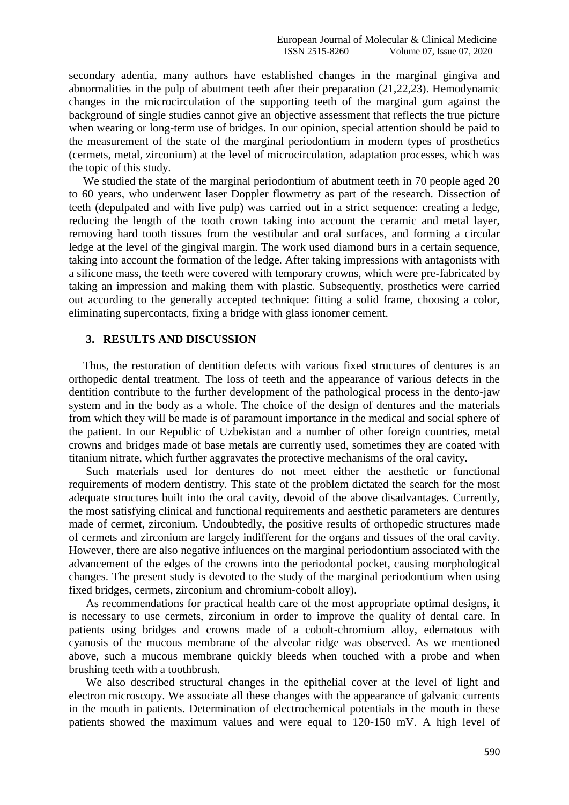secondary adentia, many authors have established changes in the marginal gingiva and abnormalities in the pulp of abutment teeth after their preparation (21,22,23). Hemodynamic changes in the microcirculation of the supporting teeth of the marginal gum against the background of single studies cannot give an objective assessment that reflects the true picture when wearing or long-term use of bridges. In our opinion, special attention should be paid to the measurement of the state of the marginal periodontium in modern types of prosthetics (cermets, metal, zirconium) at the level of microcirculation, adaptation processes, which was the topic of this study.

 We studied the state of the marginal periodontium of abutment teeth in 70 people aged 20 to 60 years, who underwent laser Doppler flowmetry as part of the research. Dissection of teeth (depulpated and with live pulp) was carried out in a strict sequence: creating a ledge, reducing the length of the tooth crown taking into account the ceramic and metal layer, removing hard tooth tissues from the vestibular and oral surfaces, and forming a circular ledge at the level of the gingival margin. The work used diamond burs in a certain sequence, taking into account the formation of the ledge. After taking impressions with antagonists with a silicone mass, the teeth were covered with temporary crowns, which were pre-fabricated by taking an impression and making them with plastic. Subsequently, prosthetics were carried out according to the generally accepted technique: fitting a solid frame, choosing a color, eliminating supercontacts, fixing a bridge with glass ionomer cement.

### **3. RESULTS AND DISCUSSION**

 Thus, the restoration of dentition defects with various fixed structures of dentures is an orthopedic dental treatment. The loss of teeth and the appearance of various defects in the dentition contribute to the further development of the pathological process in the dento-jaw system and in the body as a whole. The choice of the design of dentures and the materials from which they will be made is of paramount importance in the medical and social sphere of the patient. In our Republic of Uzbekistan and a number of other foreign countries, metal crowns and bridges made of base metals are currently used, sometimes they are coated with titanium nitrate, which further aggravates the protective mechanisms of the oral cavity.

 Such materials used for dentures do not meet either the aesthetic or functional requirements of modern dentistry. This state of the problem dictated the search for the most adequate structures built into the oral cavity, devoid of the above disadvantages. Currently, the most satisfying clinical and functional requirements and aesthetic parameters are dentures made of cermet, zirconium. Undoubtedly, the positive results of orthopedic structures made of cermets and zirconium are largely indifferent for the organs and tissues of the oral cavity. However, there are also negative influences on the marginal periodontium associated with the advancement of the edges of the crowns into the periodontal pocket, causing morphological changes. The present study is devoted to the study of the marginal periodontium when using fixed bridges, cermets, zirconium and chromium-cobolt alloy).

 As recommendations for practical health care of the most appropriate optimal designs, it is necessary to use cermets, zirconium in order to improve the quality of dental care. In patients using bridges and crowns made of a cobolt-chromium alloy, edematous with cyanosis of the mucous membrane of the alveolar ridge was observed. As we mentioned above, such a mucous membrane quickly bleeds when touched with a probe and when brushing teeth with a toothbrush.

 We also described structural changes in the epithelial cover at the level of light and electron microscopy. We associate all these changes with the appearance of galvanic currents in the mouth in patients. Determination of electrochemical potentials in the mouth in these patients showed the maximum values and were equal to 120-150 mV. A high level of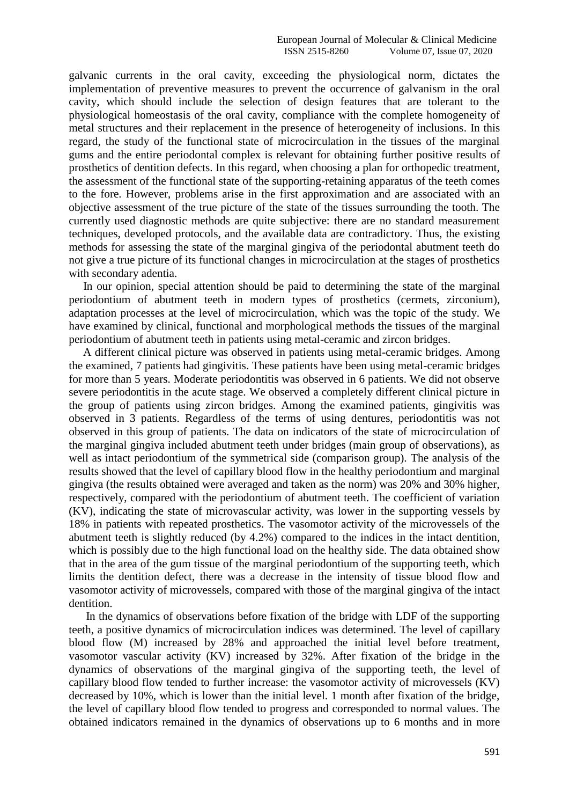galvanic currents in the oral cavity, exceeding the physiological norm, dictates the implementation of preventive measures to prevent the occurrence of galvanism in the oral cavity, which should include the selection of design features that are tolerant to the physiological homeostasis of the oral cavity, compliance with the complete homogeneity of metal structures and their replacement in the presence of heterogeneity of inclusions. In this regard, the study of the functional state of microcirculation in the tissues of the marginal gums and the entire periodontal complex is relevant for obtaining further positive results of prosthetics of dentition defects. In this regard, when choosing a plan for orthopedic treatment, the assessment of the functional state of the supporting-retaining apparatus of the teeth comes to the fore. However, problems arise in the first approximation and are associated with an objective assessment of the true picture of the state of the tissues surrounding the tooth. The currently used diagnostic methods are quite subjective: there are no standard measurement techniques, developed protocols, and the available data are contradictory. Thus, the existing methods for assessing the state of the marginal gingiva of the periodontal abutment teeth do not give a true picture of its functional changes in microcirculation at the stages of prosthetics with secondary adentia.

 In our opinion, special attention should be paid to determining the state of the marginal periodontium of abutment teeth in modern types of prosthetics (cermets, zirconium), adaptation processes at the level of microcirculation, which was the topic of the study. We have examined by clinical, functional and morphological methods the tissues of the marginal periodontium of abutment teeth in patients using metal-ceramic and zircon bridges.

 A different clinical picture was observed in patients using metal-ceramic bridges. Among the examined, 7 patients had gingivitis. These patients have been using metal-ceramic bridges for more than 5 years. Moderate periodontitis was observed in 6 patients. We did not observe severe periodontitis in the acute stage. We observed a completely different clinical picture in the group of patients using zircon bridges. Among the examined patients, gingivitis was observed in 3 patients. Regardless of the terms of using dentures, periodontitis was not observed in this group of patients. The data on indicators of the state of microcirculation of the marginal gingiva included abutment teeth under bridges (main group of observations), as well as intact periodontium of the symmetrical side (comparison group). The analysis of the results showed that the level of capillary blood flow in the healthy periodontium and marginal gingiva (the results obtained were averaged and taken as the norm) was 20% and 30% higher, respectively, compared with the periodontium of abutment teeth. The coefficient of variation (KV), indicating the state of microvascular activity, was lower in the supporting vessels by 18% in patients with repeated prosthetics. The vasomotor activity of the microvessels of the abutment teeth is slightly reduced (by 4.2%) compared to the indices in the intact dentition, which is possibly due to the high functional load on the healthy side. The data obtained show that in the area of the gum tissue of the marginal periodontium of the supporting teeth, which limits the dentition defect, there was a decrease in the intensity of tissue blood flow and vasomotor activity of microvessels, compared with those of the marginal gingiva of the intact dentition.

 In the dynamics of observations before fixation of the bridge with LDF of the supporting teeth, a positive dynamics of microcirculation indices was determined. The level of capillary blood flow (M) increased by 28% and approached the initial level before treatment, vasomotor vascular activity (KV) increased by 32%. After fixation of the bridge in the dynamics of observations of the marginal gingiva of the supporting teeth, the level of capillary blood flow tended to further increase: the vasomotor activity of microvessels (KV) decreased by 10%, which is lower than the initial level. 1 month after fixation of the bridge, the level of capillary blood flow tended to progress and corresponded to normal values. The obtained indicators remained in the dynamics of observations up to 6 months and in more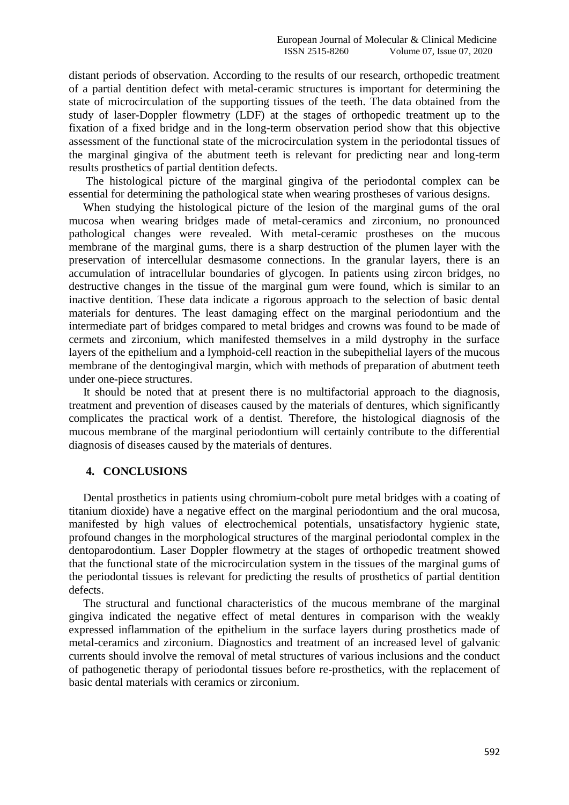distant periods of observation. According to the results of our research, orthopedic treatment of a partial dentition defect with metal-ceramic structures is important for determining the state of microcirculation of the supporting tissues of the teeth. The data obtained from the study of laser-Doppler flowmetry (LDF) at the stages of orthopedic treatment up to the fixation of a fixed bridge and in the long-term observation period show that this objective assessment of the functional state of the microcirculation system in the periodontal tissues of the marginal gingiva of the abutment teeth is relevant for predicting near and long-term results prosthetics of partial dentition defects.

 The histological picture of the marginal gingiva of the periodontal complex can be essential for determining the pathological state when wearing prostheses of various designs.

 When studying the histological picture of the lesion of the marginal gums of the oral mucosa when wearing bridges made of metal-ceramics and zirconium, no pronounced pathological changes were revealed. With metal-ceramic prostheses on the mucous membrane of the marginal gums, there is a sharp destruction of the plumen layer with the preservation of intercellular desmasome connections. In the granular layers, there is an accumulation of intracellular boundaries of glycogen. In patients using zircon bridges, no destructive changes in the tissue of the marginal gum were found, which is similar to an inactive dentition. These data indicate a rigorous approach to the selection of basic dental materials for dentures. The least damaging effect on the marginal periodontium and the intermediate part of bridges compared to metal bridges and crowns was found to be made of cermets and zirconium, which manifested themselves in a mild dystrophy in the surface layers of the epithelium and a lymphoid-cell reaction in the subepithelial layers of the mucous membrane of the dentogingival margin, which with methods of preparation of abutment teeth under one-piece structures.

 It should be noted that at present there is no multifactorial approach to the diagnosis, treatment and prevention of diseases caused by the materials of dentures, which significantly complicates the practical work of a dentist. Therefore, the histological diagnosis of the mucous membrane of the marginal periodontium will certainly contribute to the differential diagnosis of diseases caused by the materials of dentures.

#### **4. CONCLUSIONS**

 Dental prosthetics in patients using chromium-cobolt pure metal bridges with a coating of titanium dioxide) have a negative effect on the marginal periodontium and the oral mucosa, manifested by high values of electrochemical potentials, unsatisfactory hygienic state, profound changes in the morphological structures of the marginal periodontal complex in the dentoparodontium. Laser Doppler flowmetry at the stages of orthopedic treatment showed that the functional state of the microcirculation system in the tissues of the marginal gums of the periodontal tissues is relevant for predicting the results of prosthetics of partial dentition defects.

 The structural and functional characteristics of the mucous membrane of the marginal gingiva indicated the negative effect of metal dentures in comparison with the weakly expressed inflammation of the epithelium in the surface layers during prosthetics made of metal-ceramics and zirconium. Diagnostics and treatment of an increased level of galvanic currents should involve the removal of metal structures of various inclusions and the conduct of pathogenetic therapy of periodontal tissues before re-prosthetics, with the replacement of basic dental materials with ceramics or zirconium.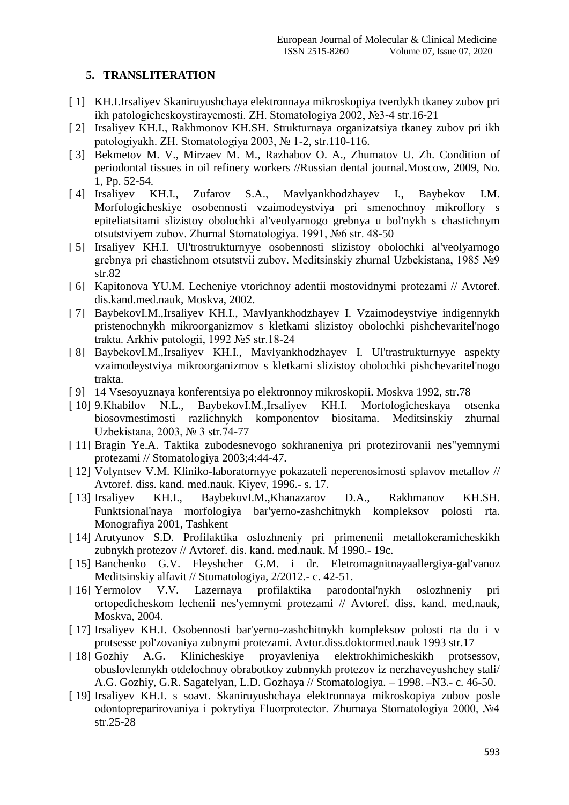## **5. TRANSLITERATION**

- [ 1] KH.I.Irsaliyev Skaniruyushchaya elektronnaya mikroskopiya tverdykh tkaney zubov pri ikh patologicheskoystirayemosti. ZH. Stomatologiya 2002, №3-4 str.16-21
- [ 2] Irsaliyev KH.I., Rakhmonov KH.SH. Strukturnaya organizatsiya tkaney zubov pri ikh patologiyakh. ZH. Stomatologiya 2003, № 1-2, str.110-116.
- [ 3] Bekmetov M. V., Mirzaev M. M., Razhabov O. A., Zhumatov U. Zh. Condition of periodontal tissues in oil refinery workers //Russian dental journal.Moscow, 2009, No. 1, Pp. 52-54.
- [ 4] Irsaliyev KH.I., Zufarov S.A., Mavlyankhodzhayev I., Baybekov I.M. Morfologicheskiye osobennosti vzaimodeystviya pri smenochnoy mikroflory s epiteliatsitami slizistoy obolochki al'veolyarnogo grebnya u bol'nykh s chastichnym otsutstviyem zubov. Zhurnal Stomatologiya. 1991, №6 str. 48-50
- [ 5] Irsaliyev KH.I. Ul'trostrukturnyye osobennosti slizistoy obolochki al'veolyarnogo grebnya pri chastichnom otsutstvii zubov. Meditsinskiy zhurnal Uzbekistana, 1985 №9 str.82
- [ 6] Kapitonova YU.M. Lecheniye vtorichnoy adentii mostovidnymi protezami // Avtoref. dis.kand.med.nauk, Moskva, 2002.
- [ 7] BaybekovI.M.,Irsaliyev KH.I., Mavlyankhodzhayev I. Vzaimodeystviye indigennykh pristenochnykh mikroorganizmov s kletkami slizistoy obolochki pishchevaritel'nogo trakta. Arkhiv patologii, 1992 №5 str.18-24
- [ 8] BaybekovI.M.,Irsaliyev KH.I., Mavlyankhodzhayev I. Ul'trastrukturnyye aspekty vzaimodeystviya mikroorganizmov s kletkami slizistoy obolochki pishchevaritel'nogo trakta.
- [ 9] 14 Vsesoyuznaya konferentsiya po elektronnoy mikroskopii. Moskva 1992, str.78
- [ 10] 9.Khabilov N.L., BaybekovI.M.,Irsaliyev KH.I. Morfologicheskaya otsenka biosovmestimosti razlichnykh komponentov biositama. Meditsinskiy zhurnal Uzbekistana, 2003, № 3 str.74-77
- [ 11] Bragin Ye.A. Taktika zubodesnevogo sokhraneniya pri protezirovanii nes"yemnymi protezami // Stomatologiya 2003;4:44-47.
- [ 12] Volyntsev V.M. Kliniko-laboratornyye pokazateli neperenosimosti splavov metallov // Avtoref. diss. kand. med.nauk. Kiyev, 1996.- s. 17.
- [ 13] Irsaliyev KH.I., BaybekovI.M.,Khanazarov D.A., Rakhmanov KH.SH. Funktsional'naya morfologiya bar'yerno-zashchitnykh kompleksov polosti rta. Monografiya 2001, Tashkent
- [ 14] Arutyunov S.D. Profilaktika oslozhneniy pri primenenii metallokeramicheskikh zubnykh protezov // Avtoref. dis. kand. med.nauk. M 1990.- 19c.
- [ 15] Banchenko G.V. Fleyshcher G.M. i dr. Eletromagnitnayaallergiya-gal'vanoz Meditsinskiy alfavit // Stomatologiya, 2/2012.- c. 42-51.
- [ 16] Yermolov V.V. Lazernaya profilaktika parodontal'nykh oslozhneniy pri ortopedicheskom lechenii nes'yemnymi protezami // Avtoref. diss. kand. med.nauk, Moskva, 2004.
- [ 17] Irsaliyev KH.I. Osobennosti bar'yerno-zashchitnykh kompleksov polosti rta do i v protsesse pol'zovaniya zubnymi protezami. Avtor.diss.doktormed.nauk 1993 str.17
- [ 18] Gozhiy A.G. Klinicheskiye proyavleniya elektrokhimicheskikh protsessov, obuslovlennykh otdelochnoy obrabotkoy zubnnykh protezov iz nerzhaveyushchey stali/ A.G. Gozhiy, G.R. Sagatelyan, L.D. Gozhaya // Stomatologiya. – 1998. –N3.- c. 46-50.
- [ 19] Irsaliyev KH.I. s soavt. Skaniruyushchaya elektronnaya mikroskopiya zubov posle odontopreparirovaniya i pokrytiya Fluorprotector. Zhurnaya Stomatologiya 2000, №4 str.25-28